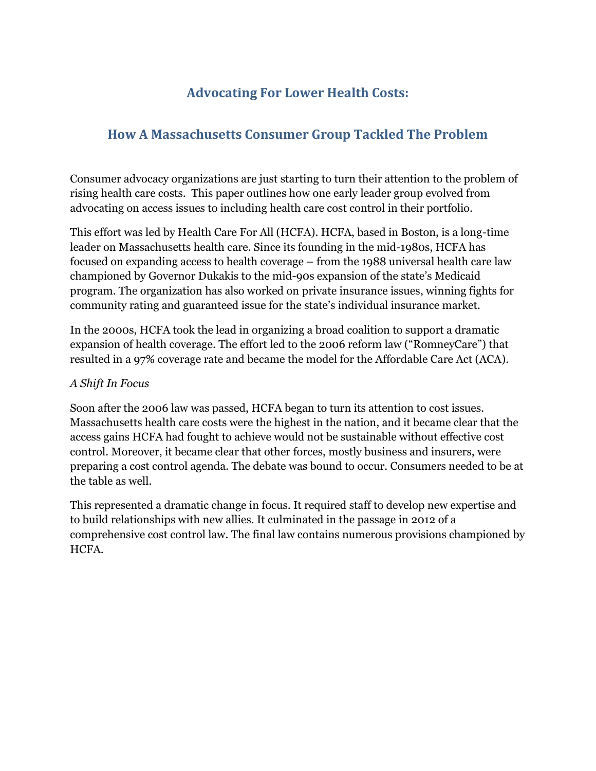## **Advocating For Lower Health Costs:**

## **How A Massachusetts Consumer Group Tackled The Problem**

Consumer advocacy organizations are just starting to turn their attention to the problem of rising health care costs. This paper outlines how one early leader group evolved from advocating on access issues to including health care cost control in their portfolio.

This effort was led by Health Care For All (HCFA). HCFA, based in Boston, is a long-time leader on Massachusetts health care. Since its founding in the mid-1980s, HCFA has focused on expanding access to health coverage – from the 1988 universal health care law championed by Governor Dukakis to the mid-90s expansion of the state's Medicaid program. The organization has also worked on private insurance issues, winning fights for community rating and guaranteed issue for the state's individual insurance market.

In the 2000s, HCFA took the lead in organizing a broad coalition to support a dramatic expansion of health coverage. The effort led to the 2006 reform law ("RomneyCare") that resulted in a 97% coverage rate and became the model for the Affordable Care Act (ACA).

## *A Shift In Focus*

Soon after the 2006 law was passed, HCFA began to turn its attention to cost issues. Massachusetts health care costs were the highest in the nation, and it became clear that the access gains HCFA had fought to achieve would not be sustainable without effective cost control. Moreover, it became clear that other forces, mostly business and insurers, were preparing a cost control agenda. The debate was bound to occur. Consumers needed to be at the table as well.

This represented a dramatic change in focus. It required staff to develop new expertise and to build relationships with new allies. It culminated in the passage in 2012 of a comprehensive cost control law. The final law contains numerous provisions championed by HCFA.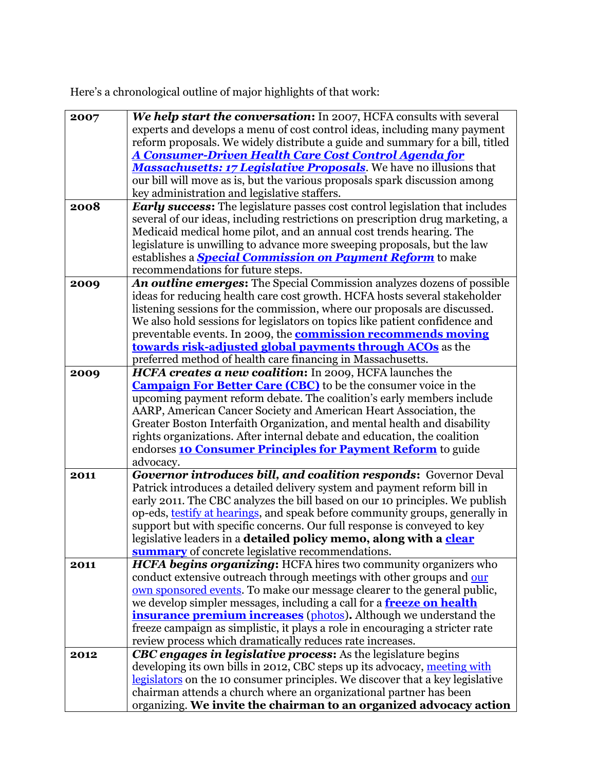Here's a chronological outline of major highlights of that work:

| 2007 | We help start the conversation: In 2007, HCFA consults with several                 |
|------|-------------------------------------------------------------------------------------|
|      | experts and develops a menu of cost control ideas, including many payment           |
|      | reform proposals. We widely distribute a guide and summary for a bill, titled       |
|      | <b>A Consumer-Driven Health Care Cost Control Agenda for</b>                        |
|      | <b>Massachusetts: 17 Legislative Proposals</b> . We have no illusions that          |
|      | our bill will move as is, but the various proposals spark discussion among          |
|      | key administration and legislative staffers.                                        |
| 2008 | <b>Early success:</b> The legislature passes cost control legislation that includes |
|      | several of our ideas, including restrictions on prescription drug marketing, a      |
|      |                                                                                     |
|      | Medicaid medical home pilot, and an annual cost trends hearing. The                 |
|      | legislature is unwilling to advance more sweeping proposals, but the law            |
|      | establishes a <b>Special Commission on Payment Reform</b> to make                   |
|      | recommendations for future steps.                                                   |
| 2009 | An outline emerges: The Special Commission analyzes dozens of possible              |
|      | ideas for reducing health care cost growth. HCFA hosts several stakeholder          |
|      | listening sessions for the commission, where our proposals are discussed.           |
|      | We also hold sessions for legislators on topics like patient confidence and         |
|      | preventable events. In 2009, the <b>commission recommends moving</b>                |
|      | towards risk-adjusted global payments through ACOs as the                           |
|      | preferred method of health care financing in Massachusetts.                         |
| 2009 | HCFA creates a new coalition: In 2009, HCFA launches the                            |
|      | <b>Campaign For Better Care (CBC)</b> to be the consumer voice in the               |
|      | upcoming payment reform debate. The coalition's early members include               |
|      | AARP, American Cancer Society and American Heart Association, the                   |
|      | Greater Boston Interfaith Organization, and mental health and disability            |
|      | rights organizations. After internal debate and education, the coalition            |
|      | endorses <b>10 Consumer Principles for Payment Reform</b> to guide                  |
|      | advocacy.                                                                           |
| 2011 | <b>Governor introduces bill, and coalition responds:</b> Governor Deval             |
|      | Patrick introduces a detailed delivery system and payment reform bill in            |
|      | early 2011. The CBC analyzes the bill based on our 10 principles. We publish        |
|      |                                                                                     |
|      | op-eds, testify at hearings, and speak before community groups, generally in        |
|      | support but with specific concerns. Our full response is conveyed to key            |
|      | legislative leaders in a detailed policy memo, along with a clear                   |
|      | <b>summary</b> of concrete legislative recommendations.                             |
| 2011 | <b>HCFA begins organizing:</b> HCFA hires two community organizers who              |
|      | conduct extensive outreach through meetings with other groups and our               |
|      | own sponsored events. To make our message clearer to the general public,            |
|      | we develop simpler messages, including a call for a <b>freeze on health</b>         |
|      | insurance premium increases (photos). Although we understand the                    |
|      | freeze campaign as simplistic, it plays a role in encouraging a stricter rate       |
|      | review process which dramatically reduces rate increases.                           |
| 2012 | CBC engages in legislative process: As the legislature begins                       |
|      | developing its own bills in 2012, CBC steps up its advocacy, meeting with           |
|      | legislators on the 10 consumer principles. We discover that a key legislative       |
|      | chairman attends a church where an organizational partner has been                  |
|      | organizing. We invite the chairman to an organized advocacy action                  |
|      |                                                                                     |